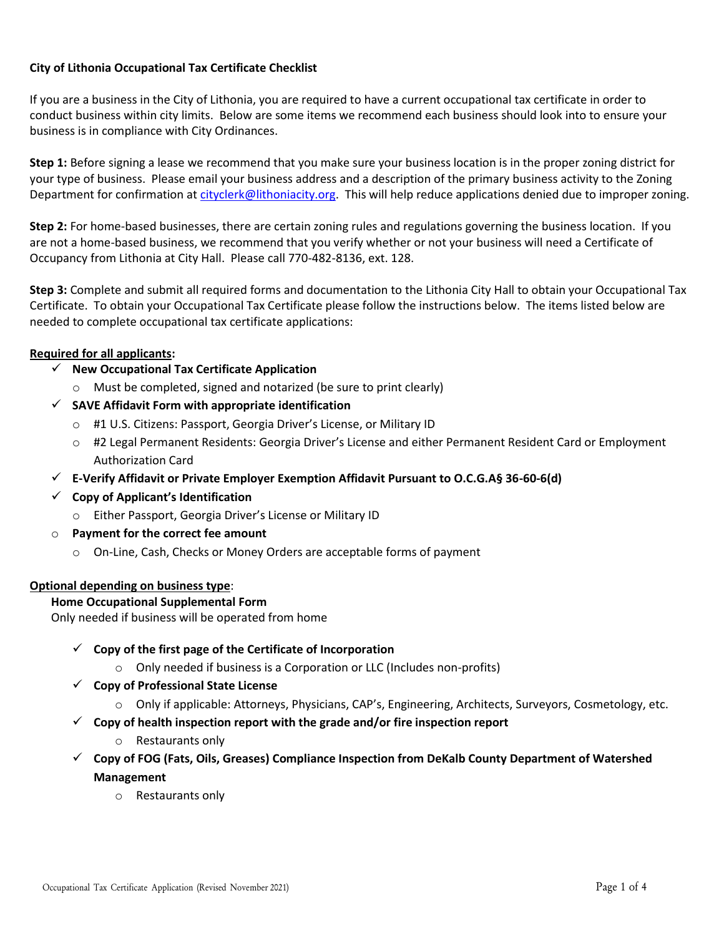## **City of Lithonia Occupational Tax Certificate Checklist**

If you are a business in the City of Lithonia, you are required to have a current occupational tax certificate in order to conduct business within city limits. Below are some items we recommend each business should look into to ensure your business is in compliance with City Ordinances.

**Step 1:** Before signing a lease we recommend that you make sure your business location is in the proper zoning district for your type of business. Please email your business address and a description of the primary business activity to the Zoning Department for confirmation at [cityclerk@lithoniacity.org.](mailto:cityclerk@lithoniacity.org) This will help reduce applications denied due to improper zoning.

**Step 2:** For home-based businesses, there are certain zoning rules and regulations governing the business location. If you are not a home-based business, we recommend that you verify whether or not your business will need a Certificate of Occupancy from Lithonia at City Hall. Please call 770-482-8136, ext. 128.

**Step 3:** Complete and submit all required forms and documentation to the Lithonia City Hall to obtain your Occupational Tax Certificate. To obtain your Occupational Tax Certificate please follow the instructions below. The items listed below are needed to complete occupational tax certificate applications:

## **Required for all applicants:**

- ✓ **New Occupational Tax Certificate Application**
	- o Must be completed, signed and notarized (be sure to print clearly)
- ✓ **SAVE Affidavit Form with appropriate identification**
	- o #1 U.S. Citizens: Passport, Georgia Driver's License, or Military ID
	- o #2 Legal Permanent Residents: Georgia Driver's License and either Permanent Resident Card or Employment Authorization Card
- ✓ **E-Verify Affidavit or Private Employer Exemption Affidavit Pursuant to O.C.G.A§ 36-60-6(d)**
- ✓ **Copy of Applicant's Identification**
	- o Either Passport, Georgia Driver's License or Military ID
- o **Payment for the correct fee amount**
	- o On-Line, Cash, Checks or Money Orders are acceptable forms of payment

## **Optional depending on business type**:

## **Home Occupational Supplemental Form**

Only needed if business will be operated from home

- ✓ **Copy of the first page of the Certificate of Incorporation**
	- $\circ$  Only needed if business is a Corporation or LLC (Includes non-profits)
- ✓ **Copy of Professional State License**
	- o Only if applicable: Attorneys, Physicians, CAP's, Engineering, Architects, Surveyors, Cosmetology, etc.
- ✓ **Copy of health inspection report with the grade and/or fire inspection report**
	- o Restaurants only
- ✓ **Copy of FOG (Fats, Oils, Greases) Compliance Inspection from DeKalb County Department of Watershed Management**
	- o Restaurants only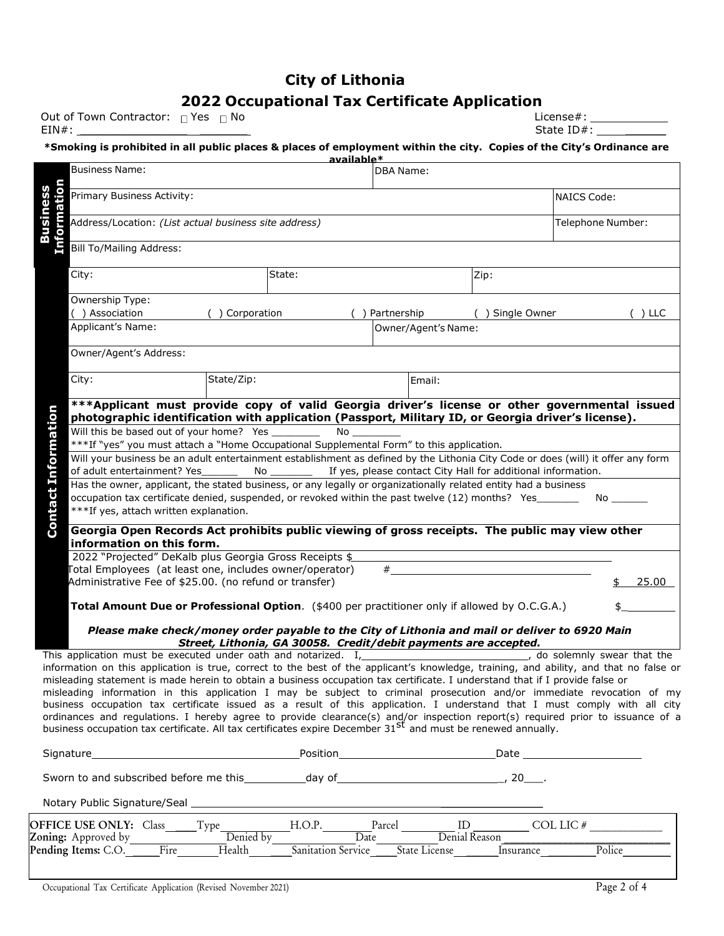## **City of Lithonia**

## **2022 Occupational Tax Certificate Application**

Out of Town Contractor: Yes No License#:

| Out of Town Contractor: $\Box$ Yes<br>No | ∟icense# i |
|------------------------------------------|------------|
| EIN#:                                    | State ID#: |
|                                          |            |

#### **\*Smoking is prohibited in all public places & places of employment within the city. Copies of the City's Ordinance are available\***

|           |                                                                                                                                                                                                                                                             | <b>DBA Name:</b>                                                                                                                                                                                                                                                                            |                     |                |                                                                                          |                |                                                        | Business Name:                     |
|-----------|-------------------------------------------------------------------------------------------------------------------------------------------------------------------------------------------------------------------------------------------------------------|---------------------------------------------------------------------------------------------------------------------------------------------------------------------------------------------------------------------------------------------------------------------------------------------|---------------------|----------------|------------------------------------------------------------------------------------------|----------------|--------------------------------------------------------|------------------------------------|
|           | NAICS Code:                                                                                                                                                                                                                                                 |                                                                                                                                                                                                                                                                                             |                     |                |                                                                                          |                | Primary Business Activity:                             |                                    |
|           | Telephone Number:                                                                                                                                                                                                                                           | Information<br>Address/Location: (List actual business site address)                                                                                                                                                                                                                        |                     |                |                                                                                          |                |                                                        |                                    |
|           |                                                                                                                                                                                                                                                             |                                                                                                                                                                                                                                                                                             |                     |                |                                                                                          |                |                                                        | <b>Bill To/Mailing Address:</b>    |
|           |                                                                                                                                                                                                                                                             | Zip:                                                                                                                                                                                                                                                                                        |                     |                | State:                                                                                   |                |                                                        | City:                              |
| $( )$ LLC |                                                                                                                                                                                                                                                             | ( ) Single Owner                                                                                                                                                                                                                                                                            |                     | () Partnership |                                                                                          | () Corporation |                                                        | Ownership Type:<br>( ) Association |
|           |                                                                                                                                                                                                                                                             |                                                                                                                                                                                                                                                                                             | Owner/Agent's Name: |                |                                                                                          |                |                                                        | Applicant's Name:                  |
|           |                                                                                                                                                                                                                                                             |                                                                                                                                                                                                                                                                                             |                     |                |                                                                                          |                |                                                        | Owner/Agent's Address:             |
|           |                                                                                                                                                                                                                                                             |                                                                                                                                                                                                                                                                                             | Email:              |                |                                                                                          | State/Zip:     |                                                        | City:                              |
|           | *** Applicant must provide copy of valid Georgia driver's license or other governmental issued<br>photographic identification with application (Passport, Military ID, or Georgia driver's license).                                                        |                                                                                                                                                                                                                                                                                             |                     |                |                                                                                          |                |                                                        |                                    |
|           |                                                                                                                                                                                                                                                             |                                                                                                                                                                                                                                                                                             |                     | No the set     |                                                                                          |                | Will this be based out of your home? Yes _______       |                                    |
|           |                                                                                                                                                                                                                                                             |                                                                                                                                                                                                                                                                                             |                     |                | ***If "yes" you must attach a "Home Occupational Supplemental Form" to this application. |                |                                                        |                                    |
|           | Will your business be an adult entertainment establishment as defined by the Lithonia City Code or does (will) it offer any form                                                                                                                            |                                                                                                                                                                                                                                                                                             |                     |                |                                                                                          |                |                                                        |                                    |
|           |                                                                                                                                                                                                                                                             | If yes, please contact City Hall for additional information.                                                                                                                                                                                                                                |                     |                |                                                                                          | No             | of adult entertainment? Yes                            |                                    |
|           |                                                                                                                                                                                                                                                             | Has the owner, applicant, the stated business, or any legally or organizationally related entity had a business                                                                                                                                                                             |                     |                |                                                                                          |                |                                                        |                                    |
|           | No l                                                                                                                                                                                                                                                        | occupation tax certificate denied, suspended, or revoked within the past twelve (12) months? Yes                                                                                                                                                                                            |                     |                |                                                                                          |                |                                                        |                                    |
|           |                                                                                                                                                                                                                                                             |                                                                                                                                                                                                                                                                                             |                     |                |                                                                                          |                | ***If yes, attach written explanation.                 |                                    |
|           | Georgia Open Records Act prohibits public viewing of gross receipts. The public may view other                                                                                                                                                              |                                                                                                                                                                                                                                                                                             |                     |                |                                                                                          |                | information on this form.                              |                                    |
|           |                                                                                                                                                                                                                                                             |                                                                                                                                                                                                                                                                                             |                     |                | 2022 "Projected" DeKalb plus Georgia Gross Receipts \$                                   |                |                                                        |                                    |
|           |                                                                                                                                                                                                                                                             |                                                                                                                                                                                                                                                                                             |                     | #              | Total Employees (at least one, includes owner/operator)                                  |                |                                                        |                                    |
| 25.00     |                                                                                                                                                                                                                                                             |                                                                                                                                                                                                                                                                                             |                     |                |                                                                                          |                | Administrative Fee of \$25.00. (no refund or transfer) |                                    |
|           |                                                                                                                                                                                                                                                             | Total Amount Due or Professional Option. (\$400 per practitioner only if allowed by O.C.G.A.)                                                                                                                                                                                               |                     |                |                                                                                          |                |                                                        |                                    |
|           |                                                                                                                                                                                                                                                             | Please make check/money order payable to the City of Lithonia and mail or deliver to 6920 Main                                                                                                                                                                                              |                     |                | Street, Lithonia, GA 30058. Credit/debit payments are accepted.                          |                |                                                        |                                    |
|           | do solemnly swear that the                                                                                                                                                                                                                                  |                                                                                                                                                                                                                                                                                             |                     |                | This application must be executed under oath and notarized. I,                           |                |                                                        |                                    |
|           | information on this application is true, correct to the best of the applicant's knowledge, training, and ability, and that no false or                                                                                                                      |                                                                                                                                                                                                                                                                                             |                     |                |                                                                                          |                |                                                        |                                    |
|           |                                                                                                                                                                                                                                                             | misleading statement is made herein to obtain a business occupation tax certificate. I understand that if I provide false or                                                                                                                                                                |                     |                |                                                                                          |                |                                                        |                                    |
|           | misleading information in this application I may be subject to criminal prosecution and/or immediate revocation of my                                                                                                                                       |                                                                                                                                                                                                                                                                                             |                     |                |                                                                                          |                |                                                        |                                    |
|           | business occupation tax certificate issued as a result of this application. I understand that I must comply with all city<br>ordinances and regulations. I hereby agree to provide clearance(s) and/or inspection report(s) required prior to issuance of a |                                                                                                                                                                                                                                                                                             |                     |                |                                                                                          |                |                                                        |                                    |
|           |                                                                                                                                                                                                                                                             | business occupation tax certificate. All tax certificates expire December 31 <sup>st</sup> and must be renewed annually.                                                                                                                                                                    |                     |                |                                                                                          |                |                                                        |                                    |
|           |                                                                                                                                                                                                                                                             |                                                                                                                                                                                                                                                                                             |                     |                |                                                                                          |                |                                                        | Signature                          |
|           |                                                                                                                                                                                                                                                             |                                                                                                                                                                                                                                                                                             |                     |                |                                                                                          |                |                                                        |                                    |
|           |                                                                                                                                                                                                                                                             |                                                                                                                                                                                                                                                                                             |                     |                |                                                                                          |                |                                                        |                                    |
|           |                                                                                                                                                                                                                                                             |                                                                                                                                                                                                                                                                                             |                     |                |                                                                                          |                |                                                        | <b>OFFICE USE ONLY:</b> Class      |
|           | Police                                                                                                                                                                                                                                                      |                                                                                                                                                                                                                                                                                             | State License       |                | Sanitation Service                                                                       | Health ______  | Fire                                                   | Pending Items: C.O.                |
|           |                                                                                                                                                                                                                                                             | Type Benied by H.O.P. Parcel Denial Reason COL LIC #<br>$\begin{tabular}{ c c } \hline \quad \quad & \quad \quad & \quad \quad & \quad \quad \\ \hline \hline \quad \quad & \quad \quad & \quad \quad & \quad \quad \\ \hline \overline{t\text{ in.}} & \text{In.} \\ \hline \end{tabular}$ |                     |                |                                                                                          |                |                                                        | <b>Zoning:</b> Approved by         |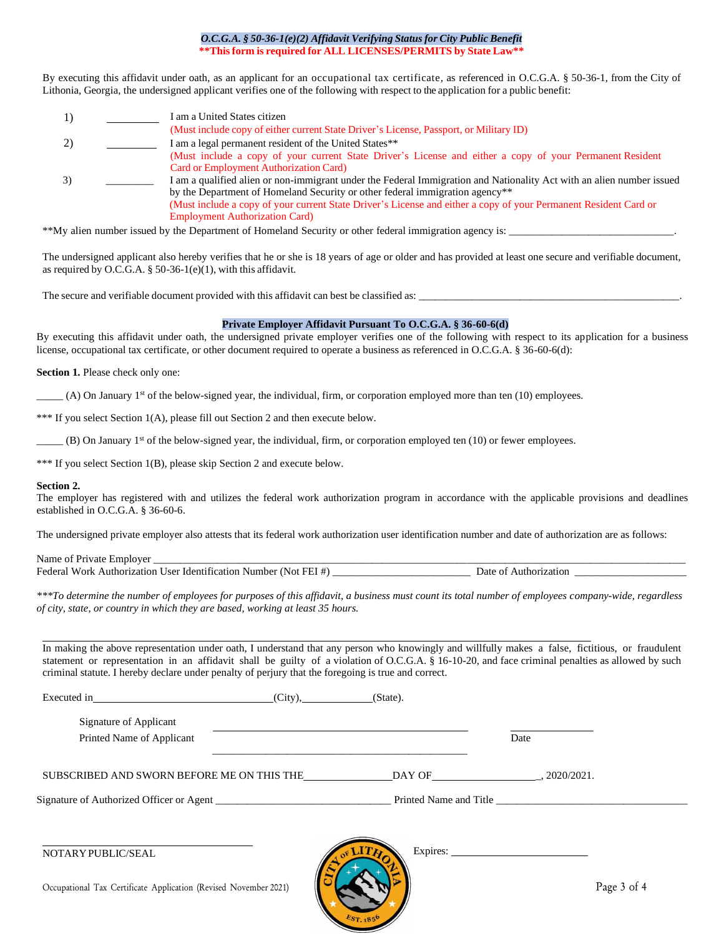#### *O.C.G.A. § 50-36-1(e)(2) Affidavit Verifying Status for City Public Benefit* **\*\*Thisform is required for ALL LICENSES/PERMITS by State Law\*\***

By executing this affidavit under oath, as an applicant for an occupational tax certificate, as referenced in O.C.G.A. § 50-36-1, from the City of Lithonia, Georgia, the undersigned applicant verifies one of the following with respect to the application for a public benefit:

1) I am a United States citizen (Must include copy of either current State Driver's License, Passport, or Military ID) 2) I am a legal permanent resident of the United States\*\* (Must include a copy of your current State Driver's License and either a copy of your Permanent Resident Card or Employment Authorization Card) 3) \_\_\_\_\_\_\_\_\_ I am a qualified alien or non-immigrant under the Federal Immigration and Nationality Act with an alien number issued by the Department of Homeland Security or other federal immigration agency\*\* (Must include a copy of your current State Driver's License and either a copy of your Permanent Resident Card or Employment Authorization Card)

\*\*My alien number issued by the Department of Homeland Security or other federal immigration agency is:

The undersigned applicant also hereby verifies that he or she is 18 years of age or older and has provided at least one secure and verifiable document, as required by O.C.G.A. § 50-36-1(e)(1), with this affidavit.

The secure and verifiable document provided with this affidavit can best be classified as:

#### **Private Employer Affidavit Pursuant To O.C.G.A. § 36-60-6(d)**

By executing this affidavit under oath, the undersigned private employer verifies one of the following with respect to its application for a business license, occupational tax certificate, or other document required to operate a business as referenced in O.C.G.A. § 36-60-6(d):

**Section 1.** Please check only one:

 $_{-}$  (A) On January 1<sup>st</sup> of the below-signed year, the individual, firm, or corporation employed more than ten (10) employees.

\*\*\* If you select Section 1(A), please fill out Section 2 and then execute below.

 $(B)$  On January 1<sup>st</sup> of the below-signed year, the individual, firm, or corporation employed ten  $(10)$  or fewer employees.

\*\*\* If you select Section 1(B), please skip Section 2 and execute below.

#### **Section 2.**

The employer has registered with and utilizes the federal work authorization program in accordance with the applicable provisions and deadlines established in O.C.G.A. § 36-60-6.

The undersigned private employer also attests that its federal work authorization user identification number and date of authorization are as follows:

Name of Private Employer Federal Work Authorization User Identification Number (Not FEI #) \_\_\_\_\_\_\_\_\_\_\_\_\_\_\_\_\_\_\_\_\_\_\_\_\_\_ Date of Authorization \_\_\_\_\_\_\_\_\_\_\_\_\_\_\_\_\_\_\_\_\_

*\*\*\*To determine the number of employees for purposes of this affidavit, a business must count its total number of employees company-wide, regardless of city, state, or country in which they are based, working at least 35 hours.*

In making the above representation under oath, I understand that any person who knowingly and willfully makes a false, fictitious, or fraudulent statement or representation in an affidavit shall be guilty of a violation of O.C.G.A. § 16-10-20, and face criminal penalties as allowed by such criminal statute. I hereby declare under penalty of perjury that the foregoing is true and correct.

| Executed in (City),                                              | (State). |                        |
|------------------------------------------------------------------|----------|------------------------|
| Signature of Applicant                                           |          |                        |
| Printed Name of Applicant                                        |          | Date                   |
|                                                                  |          |                        |
| Signature of Authorized Officer or Agent                         |          | Printed Name and Title |
|                                                                  |          |                        |
| NOTARY PUBLIC/SEAL                                               |          |                        |
| Occupational Tax Certificate Application (Revised November 2021) |          | Page 3 of 4            |